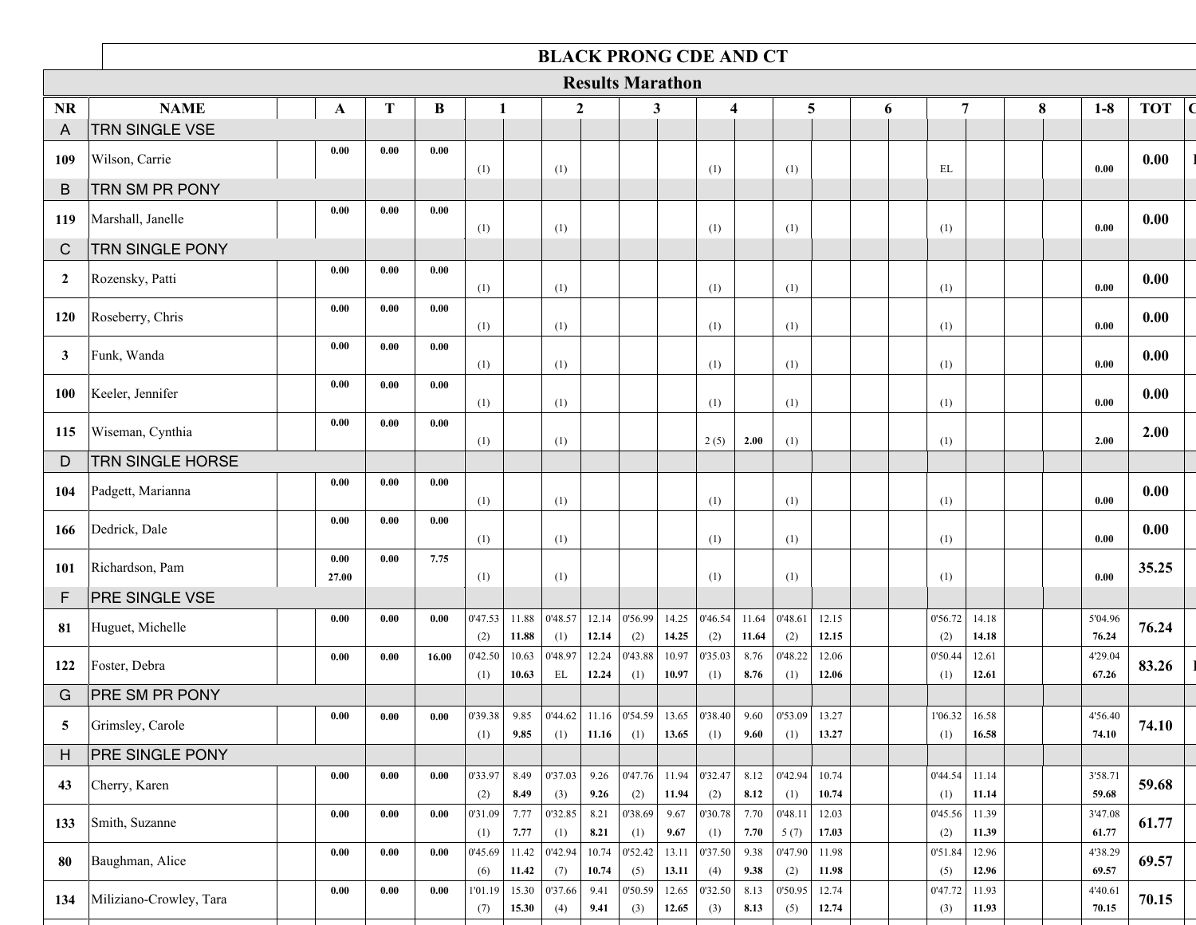|                |                               |               |      |       |                 |                | <b>BLACK PRONG CDE AND CT</b>                              |                |                         |                |                 |                |                           |                |   |                |                 |                |   |                  |            |             |
|----------------|-------------------------------|---------------|------|-------|-----------------|----------------|------------------------------------------------------------|----------------|-------------------------|----------------|-----------------|----------------|---------------------------|----------------|---|----------------|-----------------|----------------|---|------------------|------------|-------------|
|                |                               |               |      |       |                 |                |                                                            |                | <b>Results Marathon</b> |                |                 |                |                           |                |   |                |                 |                |   |                  |            |             |
| <b>NR</b>      | <b>NAME</b>                   | A             | T    | B     | 1               |                | $\mathbf{2}$                                               |                | 3                       |                |                 | 4              | 5                         |                | 6 |                | 7               |                | 8 | $1-8$            | <b>TOT</b> | $\mathbf C$ |
| A              | TRN SINGLE VSE                |               |      |       |                 |                |                                                            |                |                         |                |                 |                |                           |                |   |                |                 |                |   |                  |            |             |
| 109            | Wilson, Carrie                | 0.00          | 0.00 | 0.00  | (1)             |                | (1)                                                        |                |                         |                | (1)             |                | (1)                       |                |   | EL             |                 |                |   | 0.00             | 0.00       |             |
| B              | <b>TRN SM PR PONY</b>         |               |      |       |                 |                |                                                            |                |                         |                |                 |                |                           |                |   |                |                 |                |   |                  |            |             |
| 119            | Marshall, Janelle             | 0.00          | 0.00 | 0.00  | (1)             |                | (1)                                                        |                |                         |                | (1)             |                | (1)                       |                |   | (1)            |                 |                |   | 0.00             | 0.00       |             |
| $\mathsf{C}$   | <b>TRN SINGLE PONY</b>        |               |      |       |                 |                |                                                            |                |                         |                |                 |                |                           |                |   |                |                 |                |   |                  |            |             |
| $\overline{2}$ | Rozensky, Patti               | 0.00          | 0.00 | 0.00  | (1)             |                | (1)                                                        |                |                         |                | (1)             |                | (1)                       |                |   | (1)            |                 |                |   | 0.00             | 0.00       |             |
| 120            | Roseberry, Chris              | 0.00          | 0.00 | 0.00  | (1)             |                | (1)                                                        |                |                         |                | (1)             |                | (1)                       |                |   | (1)            |                 |                |   | 0.00             | 0.00       |             |
| $\mathbf{3}$   | Funk, Wanda                   | 0.00          | 0.00 | 0.00  | (1)             |                | (1)                                                        |                |                         |                | (1)             |                | (1)                       |                |   | (1)            |                 |                |   | 0.00             | 0.00       |             |
| <b>100</b>     | Keeler, Jennifer              | 0.00          | 0.00 | 0.00  | (1)             |                | (1)                                                        |                |                         |                | (1)             |                | (1)                       |                |   | (1)            |                 |                |   | 0.00             | 0.00       |             |
| 115            | Wiseman, Cynthia              | 0.00          | 0.00 | 0.00  | (1)             |                | (1)                                                        |                |                         |                | 2(5)            | 2.00           | (1)                       |                |   | (1)            |                 |                |   | 2.00             | 2.00       |             |
| D              | <b>TRN SINGLE HORSE</b>       |               |      |       |                 |                |                                                            |                |                         |                |                 |                |                           |                |   |                |                 |                |   |                  |            |             |
| 104            | Padgett, Marianna             | 0.00          | 0.00 | 0.00  | (1)             |                | (1)                                                        |                |                         |                | (1)             |                | (1)                       |                |   | (1)            |                 |                |   | 0.00             | 0.00       |             |
| 166            | Dedrick, Dale                 | 0.00          | 0.00 | 0.00  | (1)             |                | (1)                                                        |                |                         |                | (1)             |                | (1)                       |                |   | (1)            |                 |                |   | 0.00             | 0.00       |             |
| 101            | Richardson, Pam               | 0.00<br>27.00 | 0.00 | 7.75  | (1)             |                | (1)                                                        |                |                         |                | (1)             |                | (1)                       |                |   | (1)            |                 |                |   | 0.00             | 35.25      |             |
| F              | <b>PRE SINGLE VSE</b>         |               |      |       |                 |                |                                                            |                |                         |                |                 |                |                           |                |   |                |                 |                |   |                  |            |             |
| 81             | Huguet, Michelle              | 0.00          | 0.00 | 0.00  | 0'47.53<br>(2)  | 11.88<br>11.88 | 0'48.57<br>(1)                                             | 12.14<br>12.14 | 0'56.99<br>(2)          | 14.25<br>14.25 | 0'46.54<br>(2)  | 11.64<br>11.64 | 0'48.61<br>(2)            | 12.15<br>12.15 |   | 0'56.72<br>(2) |                 | 14.18<br>14.18 |   | 5'04.96<br>76.24 | 76.24      |             |
| 122            | Foster, Debra                 | 0.00          | 0.00 | 16.00 | 0'42.50<br>(1)  | 10.63<br>10.63 | 0'48.97<br>EL                                              | 12.24<br>12.24 | 0'43.88<br>(1)          | 10.97<br>10.97 | 0'35.03<br>(1)  | 8.76<br>8.76   | 0'48.22<br>(1)            | 12.06<br>12.06 |   | 0'50.44<br>(1) |                 | 12.61<br>12.61 |   | 4'29.04<br>67.26 | 83.26      |             |
| G              | <b>PRE SM PR PONY</b>         |               |      |       |                 |                |                                                            |                |                         |                |                 |                |                           |                |   |                |                 |                |   |                  |            |             |
| 5              | Grimsley, Carole              | 0.00          | 0.00 | 0.00  | 0'39.38 <br>(1) | 9.85<br>9.85   | $\vert$ 0'44.62 11.16 $\vert$ 0'54.59 13.65 0'38.40<br>(1) | 11.16          | (1)                     | 13.65          | (1)             | 9.60           | 9.60   $0'53.09$  <br>(1) | 13.27<br>13.27 |   | (1)            | $1'06.32$ 16.58 | 16.58          |   | 4'56.40<br>74.10 | 74.10      |             |
| H              | <b>PRE SINGLE PONY</b>        |               |      |       |                 |                |                                                            |                |                         |                |                 |                |                           |                |   |                |                 |                |   |                  |            |             |
| 43             | Cherry, Karen                 | 0.00          | 0.00 | 0.00  | 0'33.97<br>(2)  | 8.49<br>8.49   | 0'37.03<br>(3)                                             | 9.26<br>9.26   | 0'47.76 <br>(2)         | 11.94<br>11.94 | 0'32.47<br>(2)  | 8.12<br>8.12   | 0'42.94<br>(1)            | 10.74<br>10.74 |   | 0'44.54<br>(1) |                 | 11.14<br>11.14 |   | 3'58.71<br>59.68 | 59.68      |             |
| 133            | Smith, Suzanne                | 0.00          | 0.00 | 0.00  | 0'31.09<br>(1)  | 7.77<br>7.77   | 0'32.85<br>(1)                                             | 8.21<br>8.21   | 0'38.69<br>(1)          | 9.67<br>9.67   | 0'30.78 <br>(1) | 7.70<br>7.70   | 0'48.11<br>5(7)           | 12.03<br>17.03 |   | 0'45.56<br>(2) |                 | 11.39<br>11.39 |   | 3'47.08<br>61.77 | 61.77      |             |
| 80             | Baughman, Alice               | 0.00          | 0.00 | 0.00  | 0'45.69<br>(6)  | 11.42<br>11.42 | 0'42.94<br>(7)                                             | 10.74<br>10.74 | 0'52.42<br>(5)          | 13.11<br>13.11 | 0'37.50 <br>(4) | 9.38<br>9.38   | 0'47.90<br>(2)            | 11.98<br>11.98 |   | 0'51.84<br>(5) |                 | 12.96<br>12.96 |   | 4'38.29<br>69.57 | 69.57      |             |
|                | 134   Miliziano-Crowley, Tara | 0.00          | 0.00 | 0.00  | 1'01.19         | 15.30          | 0'37.66                                                    | 9.41           | 0'50.59                 |                | $12.65$ 0'32.50 | 8.13           | 0'50.95                   | 12.74          |   | 0'47.72        |                 | 11.93          |   | 4'40.61          | 70.15      |             |

**15.30 9.41 12.65 8.13 12.74 11.93 70.15** (7) (4) (3) (3) (5) (3)